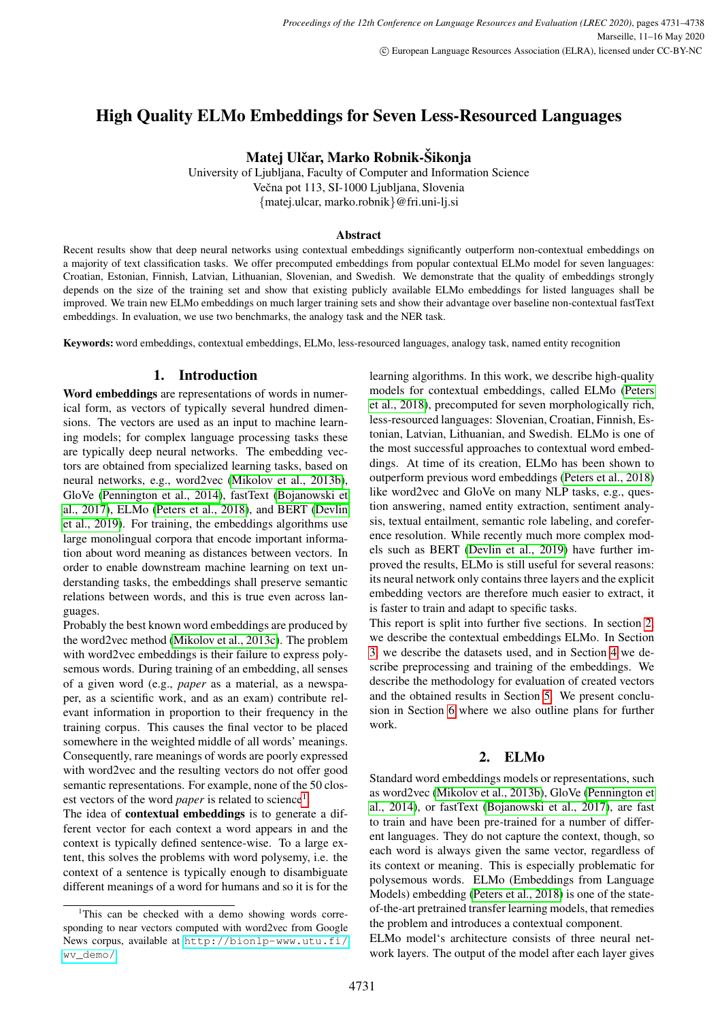# High Quality ELMo Embeddings for Seven Less-Resourced Languages

Matej Ulčar, Marko Robnik-Šikonja

University of Ljubljana, Faculty of Computer and Information Science Večna pot 113, SI-1000 Ljubljana, Slovenia {matej.ulcar, marko.robnik}@fri.uni-lj.si

#### Abstract

Recent results show that deep neural networks using contextual embeddings significantly outperform non-contextual embeddings on a majority of text classification tasks. We offer precomputed embeddings from popular contextual ELMo model for seven languages: Croatian, Estonian, Finnish, Latvian, Lithuanian, Slovenian, and Swedish. We demonstrate that the quality of embeddings strongly depends on the size of the training set and show that existing publicly available ELMo embeddings for listed languages shall be improved. We train new ELMo embeddings on much larger training sets and show their advantage over baseline non-contextual fastText embeddings. In evaluation, we use two benchmarks, the analogy task and the NER task.

Keywords: word embeddings, contextual embeddings, ELMo, less-resourced languages, analogy task, named entity recognition

# 1. Introduction

Word embeddings are representations of words in numerical form, as vectors of typically several hundred dimensions. The vectors are used as an input to machine learning models; for complex language processing tasks these are typically deep neural networks. The embedding vectors are obtained from specialized learning tasks, based on neural networks, e.g., word2vec [\(Mikolov et al., 2013b\)](#page-6-0), GloVe [\(Pennington et al., 2014\)](#page-6-1), fastText [\(Bojanowski et](#page-6-2) [al., 2017\)](#page-6-2), ELMo [\(Peters et al., 2018\)](#page-6-3), and BERT [\(Devlin](#page-6-4) [et al., 2019\)](#page-6-4). For training, the embeddings algorithms use large monolingual corpora that encode important information about word meaning as distances between vectors. In order to enable downstream machine learning on text understanding tasks, the embeddings shall preserve semantic relations between words, and this is true even across languages.

Probably the best known word embeddings are produced by the word2vec method [\(Mikolov et al., 2013c\)](#page-6-5). The problem with word2vec embeddings is their failure to express polysemous words. During training of an embedding, all senses of a given word (e.g., *paper* as a material, as a newspaper, as a scientific work, and as an exam) contribute relevant information in proportion to their frequency in the training corpus. This causes the final vector to be placed somewhere in the weighted middle of all words' meanings. Consequently, rare meanings of words are poorly expressed with word2vec and the resulting vectors do not offer good semantic representations. For example, none of the 50 closest vectors of the word *paper* is related to science<sup>[1](#page-0-0)</sup>.

The idea of contextual embeddings is to generate a different vector for each context a word appears in and the context is typically defined sentence-wise. To a large extent, this solves the problems with word polysemy, i.e. the context of a sentence is typically enough to disambiguate different meanings of a word for humans and so it is for the

learning algorithms. In this work, we describe high-quality models for contextual embeddings, called ELMo [\(Peters](#page-6-3) [et al., 2018\)](#page-6-3), precomputed for seven morphologically rich, less-resourced languages: Slovenian, Croatian, Finnish, Estonian, Latvian, Lithuanian, and Swedish. ELMo is one of the most successful approaches to contextual word embeddings. At time of its creation, ELMo has been shown to outperform previous word embeddings [\(Peters et al., 2018\)](#page-6-3) like word2vec and GloVe on many NLP tasks, e.g., question answering, named entity extraction, sentiment analysis, textual entailment, semantic role labeling, and coreference resolution. While recently much more complex models such as BERT [\(Devlin et al., 2019\)](#page-6-4) have further improved the results, ELMo is still useful for several reasons: its neural network only contains three layers and the explicit embedding vectors are therefore much easier to extract, it is faster to train and adapt to specific tasks.

This report is split into further five sections. In section [2,](#page-0-1) we describe the contextual embeddings ELMo. In Section [3,](#page-1-0) we describe the datasets used, and in Section [4](#page-1-1) we describe preprocessing and training of the embeddings. We describe the methodology for evaluation of created vectors and the obtained results in Section [5.](#page-2-0) We present conclusion in Section [6](#page-5-0) where we also outline plans for further work.

## 2. ELMo

<span id="page-0-1"></span>Standard word embeddings models or representations, such as word2vec [\(Mikolov et al., 2013b\)](#page-6-0), GloVe [\(Pennington et](#page-6-1) [al., 2014\)](#page-6-1), or fastText [\(Bojanowski et al., 2017\)](#page-6-2), are fast to train and have been pre-trained for a number of different languages. They do not capture the context, though, so each word is always given the same vector, regardless of its context or meaning. This is especially problematic for polysemous words. ELMo (Embeddings from Language Models) embedding [\(Peters et al., 2018\)](#page-6-3) is one of the stateof-the-art pretrained transfer learning models, that remedies the problem and introduces a contextual component.

ELMo model's architecture consists of three neural network layers. The output of the model after each layer gives

<span id="page-0-0"></span><sup>&</sup>lt;sup>1</sup>This can be checked with a demo showing words corresponding to near vectors computed with word2vec from Google News corpus, available at [http://bionlp-www.utu.fi/](http://bionlp-www.utu.fi/wv_demo/) [wv\\_demo/](http://bionlp-www.utu.fi/wv_demo/).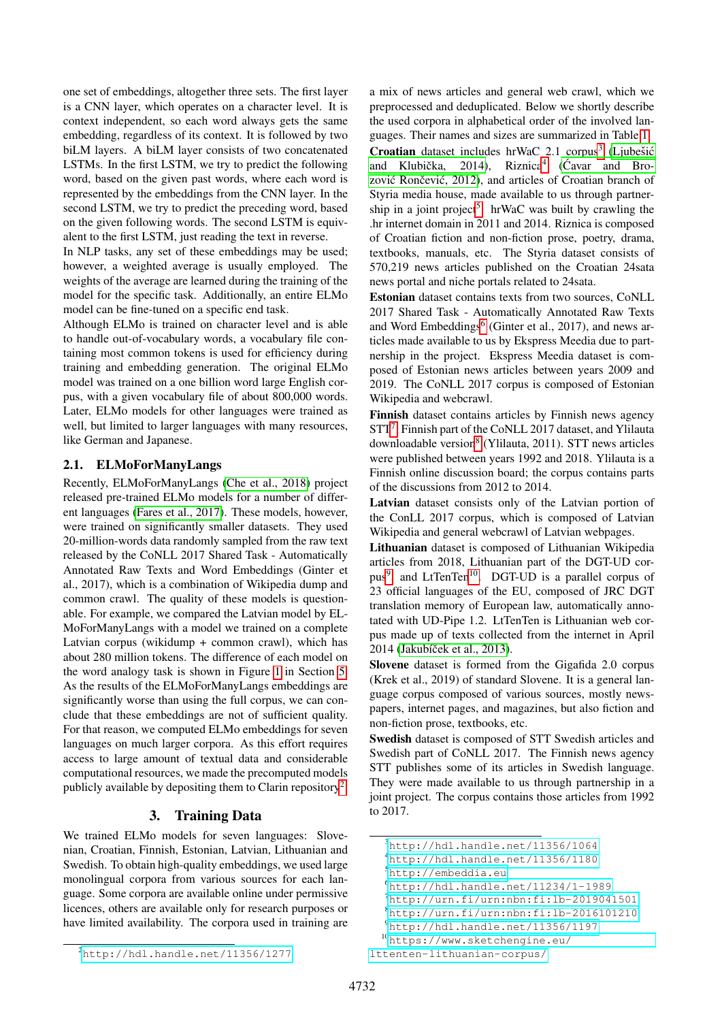one set of embeddings, altogether three sets. The first layer is a CNN layer, which operates on a character level. It is context independent, so each word always gets the same embedding, regardless of its context. It is followed by two biLM layers. A biLM layer consists of two concatenated LSTMs. In the first LSTM, we try to predict the following word, based on the given past words, where each word is represented by the embeddings from the CNN layer. In the second LSTM, we try to predict the preceding word, based on the given following words. The second LSTM is equivalent to the first LSTM, just reading the text in reverse.

In NLP tasks, any set of these embeddings may be used; however, a weighted average is usually employed. The weights of the average are learned during the training of the model for the specific task. Additionally, an entire ELMo model can be fine-tuned on a specific end task.

Although ELMo is trained on character level and is able to handle out-of-vocabulary words, a vocabulary file containing most common tokens is used for efficiency during training and embedding generation. The original ELMo model was trained on a one billion word large English corpus, with a given vocabulary file of about 800,000 words. Later, ELMo models for other languages were trained as well, but limited to larger languages with many resources, like German and Japanese.

# 2.1. ELMoForManyLangs

Recently, ELMoForManyLangs [\(Che et al., 2018\)](#page-6-6) project released pre-trained ELMo models for a number of different languages [\(Fares et al., 2017\)](#page-6-7). These models, however, were trained on significantly smaller datasets. They used 20-million-words data randomly sampled from the raw text released by the CoNLL 2017 Shared Task - Automatically Annotated Raw Texts and Word Embeddings (Ginter et al., 2017), which is a combination of Wikipedia dump and common crawl. The quality of these models is questionable. For example, we compared the Latvian model by EL-MoForManyLangs with a model we trained on a complete Latvian corpus (wikidump + common crawl), which has about 280 million tokens. The difference of each model on the word analogy task is shown in Figure [1](#page-4-0) in Section [5.](#page-2-0) As the results of the ELMoForManyLangs embeddings are significantly worse than using the full corpus, we can conclude that these embeddings are not of sufficient quality. For that reason, we computed ELMo embeddings for seven languages on much larger corpora. As this effort requires access to large amount of textual data and considerable computational resources, we made the precomputed models publicly available by depositing them to Clarin repository<sup>[2](#page-1-2)</sup>.

# 3. Training Data

<span id="page-1-0"></span>We trained ELMo models for seven languages: Slovenian, Croatian, Finnish, Estonian, Latvian, Lithuanian and Swedish. To obtain high-quality embeddings, we used large monolingual corpora from various sources for each language. Some corpora are available online under permissive licences, others are available only for research purposes or have limited availability. The corpora used in training are

a mix of news articles and general web crawl, which we preprocessed and deduplicated. Below we shortly describe the used corpora in alphabetical order of the involved languages. Their names and sizes are summarized in Table [1.](#page-2-1) Croatian dataset includes hrWaC 2.1 corpus<sup>[3](#page-1-3)</sup> (Ljubešić and Klubička, 201[4](#page-1-4)), Riznica<sup>4</sup> (Ćavar and Brozović Rončević, 2012), and articles of Croatian branch of Styria media house, made available to us through partner-ship in a joint project<sup>[5](#page-1-5)</sup>. hrWaC was built by crawling the .hr internet domain in 2011 and 2014. Riznica is composed of Croatian fiction and non-fiction prose, poetry, drama, textbooks, manuals, etc. The Styria dataset consists of 570,219 news articles published on the Croatian 24sata news portal and niche portals related to 24sata.

Estonian dataset contains texts from two sources, CoNLL 2017 Shared Task - Automatically Annotated Raw Texts and Word Embeddings<sup>[6](#page-1-6)</sup> (Ginter et al., 2017), and news articles made available to us by Ekspress Meedia due to partnership in the project. Ekspress Meedia dataset is composed of Estonian news articles between years 2009 and 2019. The CoNLL 2017 corpus is composed of Estonian Wikipedia and webcrawl.

Finnish dataset contains articles by Finnish news agency STT<sup>[7](#page-1-7)</sup>, Finnish part of the CoNLL 2017 dataset, and Ylilauta downloadable version<sup>[8](#page-1-8)</sup> (Ylilauta, 2011). STT news articles were published between years 1992 and 2018. Ylilauta is a Finnish online discussion board; the corpus contains parts of the discussions from 2012 to 2014.

Latvian dataset consists only of the Latvian portion of the ConLL 2017 corpus, which is composed of Latvian Wikipedia and general webcrawl of Latvian webpages.

Lithuanian dataset is composed of Lithuanian Wikipedia articles from 2018, Lithuanian part of the DGT-UD cor-pus<sup>[9](#page-1-9)</sup>, and LtTenTen<sup>[10](#page-1-10)</sup>. DGT-UD is a parallel corpus of 23 official languages of the EU, composed of JRC DGT translation memory of European law, automatically annotated with UD-Pipe 1.2. LtTenTen is Lithuanian web corpus made up of texts collected from the internet in April 2014 (Jakubíček et al., 2013).

Slovene dataset is formed from the Gigafida 2.0 corpus (Krek et al., 2019) of standard Slovene. It is a general language corpus composed of various sources, mostly newspapers, internet pages, and magazines, but also fiction and non-fiction prose, textbooks, etc.

Swedish dataset is composed of STT Swedish articles and Swedish part of CoNLL 2017. The Finnish news agency STT publishes some of its articles in Swedish language. They were made available to us through partnership in a joint project. The corpus contains those articles from 1992 to 2017.

<span id="page-1-3"></span><span id="page-1-1"></span> $3$ <http://hdl.handle.net/11356/1064>

<span id="page-1-4"></span><sup>4</sup><http://hdl.handle.net/11356/1180>

<span id="page-1-5"></span><sup>5</sup><http://embeddia.eu>

<span id="page-1-6"></span><sup>6</sup><http://hdl.handle.net/11234/1-1989>

<span id="page-1-7"></span> $<sup>7</sup>$ <http://urn.fi/urn:nbn:fi:lb-2019041501></sup>

<span id="page-1-8"></span> ${}^{8}$ <http://urn.fi/urn:nbn:fi:lb-2016101210>

<span id="page-1-10"></span><span id="page-1-9"></span><sup>9</sup><http://hdl.handle.net/11356/1197>

<sup>10</sup>[https://www.sketchengine.eu/](https://www.sketchengine.eu/lttenten-lithuanian-corpus/)

[lttenten-lithuanian-corpus/](https://www.sketchengine.eu/lttenten-lithuanian-corpus/)

<span id="page-1-2"></span> $^{2}$ <http://hdl.handle.net/11356/1277>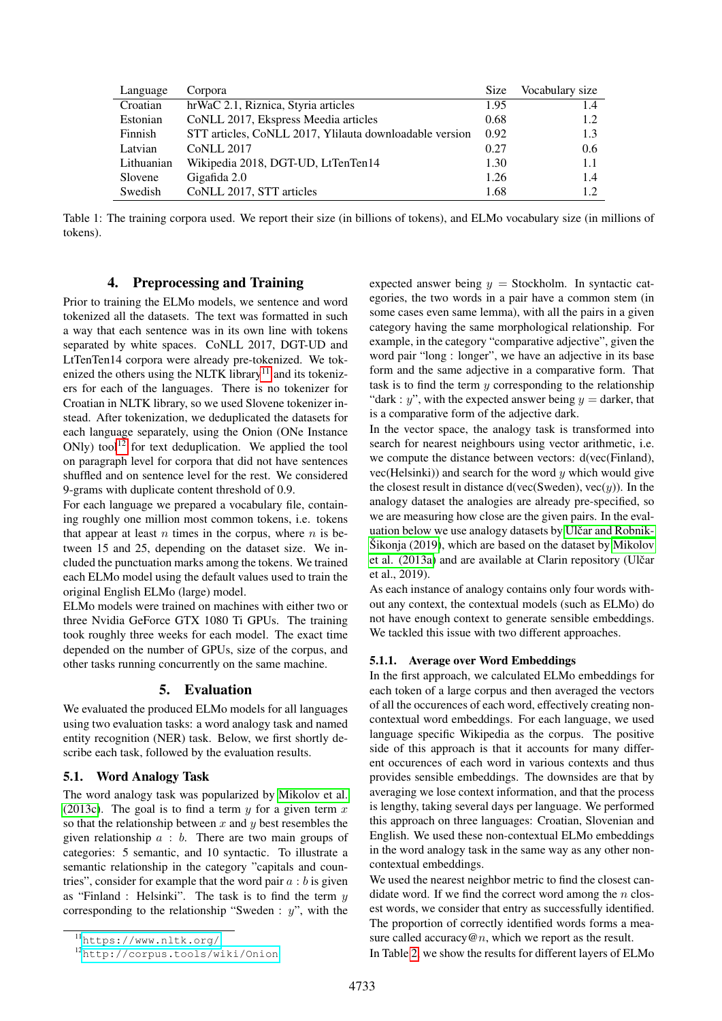| Language   | Corpora                                                 | <b>Size</b> | Vocabulary size |
|------------|---------------------------------------------------------|-------------|-----------------|
| Croatian   | hrWaC 2.1, Riznica, Styria articles                     | 1.95        | 1.4             |
| Estonian   | CoNLL 2017, Ekspress Meedia articles                    | 0.68        | 1.2             |
| Finnish    | STT articles, CoNLL 2017, Ylilauta downloadable version | 0.92        | 1.3             |
| Latvian    | <b>CoNLL 2017</b>                                       | 0.27        | 0.6             |
| Lithuanian | Wikipedia 2018, DGT-UD, LtTenTen14                      | 1.30        | 1.1             |
| Slovene    | Gigafida 2.0                                            | 1.26        | 1.4             |
| Swedish    | CoNLL 2017, STT articles                                | 1.68        | 1.2             |

<span id="page-2-1"></span>Table 1: The training corpora used. We report their size (in billions of tokens), and ELMo vocabulary size (in millions of tokens).

## 4. Preprocessing and Training

Prior to training the ELMo models, we sentence and word tokenized all the datasets. The text was formatted in such a way that each sentence was in its own line with tokens separated by white spaces. CoNLL 2017, DGT-UD and LtTenTen14 corpora were already pre-tokenized. We tok-enized the others using the NLTK library<sup>[11](#page-2-2)</sup> and its tokenizers for each of the languages. There is no tokenizer for Croatian in NLTK library, so we used Slovene tokenizer instead. After tokenization, we deduplicated the datasets for each language separately, using the Onion (ONe Instance  $ONly)$  tool<sup>[12](#page-2-3)</sup> for text deduplication. We applied the tool on paragraph level for corpora that did not have sentences shuffled and on sentence level for the rest. We considered 9-grams with duplicate content threshold of 0.9.

For each language we prepared a vocabulary file, containing roughly one million most common tokens, i.e. tokens that appear at least  $n$  times in the corpus, where  $n$  is between 15 and 25, depending on the dataset size. We included the punctuation marks among the tokens. We trained each ELMo model using the default values used to train the original English ELMo (large) model.

ELMo models were trained on machines with either two or three Nvidia GeForce GTX 1080 Ti GPUs. The training took roughly three weeks for each model. The exact time depended on the number of GPUs, size of the corpus, and other tasks running concurrently on the same machine.

#### 5. Evaluation

<span id="page-2-0"></span>We evaluated the produced ELMo models for all languages using two evaluation tasks: a word analogy task and named entity recognition (NER) task. Below, we first shortly describe each task, followed by the evaluation results.

## 5.1. Word Analogy Task

The word analogy task was popularized by [Mikolov et al.](#page-6-5) [\(2013c\)](#page-6-5). The goal is to find a term  $y$  for a given term  $x$ so that the relationship between x and  $y$  best resembles the given relationship  $a : b$ . There are two main groups of categories: 5 semantic, and 10 syntactic. To illustrate a semantic relationship in the category "capitals and countries", consider for example that the word pair  $a : b$  is given as "Finland : Helsinki". The task is to find the term  $y$ corresponding to the relationship "Sweden :  $y$ ", with the expected answer being  $y =$  Stockholm. In syntactic categories, the two words in a pair have a common stem (in some cases even same lemma), with all the pairs in a given category having the same morphological relationship. For example, in the category "comparative adjective", given the word pair "long : longer", we have an adjective in its base form and the same adjective in a comparative form. That task is to find the term  $y$  corresponding to the relationship "dark : y", with the expected answer being  $y =$  darker, that is a comparative form of the adjective dark.

In the vector space, the analogy task is transformed into search for nearest neighbours using vector arithmetic, i.e. we compute the distance between vectors: d(vec(Finland), vec(Helsinki)) and search for the word  $\psi$  which would give the closest result in distance d(vec(Sweden), vec(y)). In the analogy dataset the analogies are already pre-specified, so we are measuring how close are the given pairs. In the evaluation below we use analogy datasets by Ulčar and Robnik- $\text{Šikonja}$  (2019), which are based on the dataset by [Mikolov](#page-6-12) [et al. \(2013a\)](#page-6-12) and are available at Clarin repository (Ulčar et al., 2019).

As each instance of analogy contains only four words without any context, the contextual models (such as ELMo) do not have enough context to generate sensible embeddings. We tackled this issue with two different approaches.

#### 5.1.1. Average over Word Embeddings

In the first approach, we calculated ELMo embeddings for each token of a large corpus and then averaged the vectors of all the occurences of each word, effectively creating noncontextual word embeddings. For each language, we used language specific Wikipedia as the corpus. The positive side of this approach is that it accounts for many different occurences of each word in various contexts and thus provides sensible embeddings. The downsides are that by averaging we lose context information, and that the process is lengthy, taking several days per language. We performed this approach on three languages: Croatian, Slovenian and English. We used these non-contextual ELMo embeddings in the word analogy task in the same way as any other noncontextual embeddings.

We used the nearest neighbor metric to find the closest candidate word. If we find the correct word among the  $n$  closest words, we consider that entry as successfully identified. The proportion of correctly identified words forms a measure called accuracy  $@n$ , which we report as the result. In Table [2,](#page-3-0) we show the results for different layers of ELMo

<span id="page-2-2"></span><sup>11</sup><https://www.nltk.org/>

<span id="page-2-3"></span><sup>12</sup><http://corpus.tools/wiki/Onion>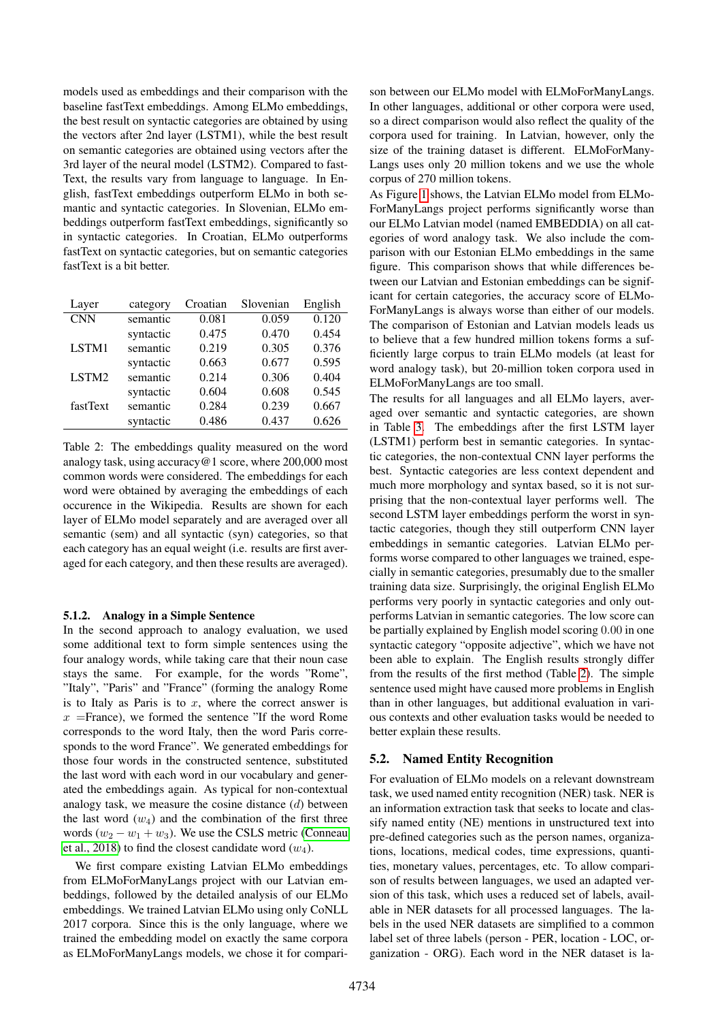models used as embeddings and their comparison with the baseline fastText embeddings. Among ELMo embeddings, the best result on syntactic categories are obtained by using the vectors after 2nd layer (LSTM1), while the best result on semantic categories are obtained using vectors after the 3rd layer of the neural model (LSTM2). Compared to fast-Text, the results vary from language to language. In English, fastText embeddings outperform ELMo in both semantic and syntactic categories. In Slovenian, ELMo embeddings outperform fastText embeddings, significantly so in syntactic categories. In Croatian, ELMo outperforms fastText on syntactic categories, but on semantic categories fastText is a bit better.

| Layer      | category  | Croatian | Slovenian | English |
|------------|-----------|----------|-----------|---------|
| <b>CNN</b> | semantic  | 0.081    | 0.059     | 0.120   |
|            | syntactic | 0.475    | 0.470     | 0.454   |
| LSTM1      | semantic  | 0.219    | 0.305     | 0.376   |
|            | syntactic | 0.663    | 0.677     | 0.595   |
| LSTM2      | semantic  | 0.214    | 0.306     | 0.404   |
|            | syntactic | 0.604    | 0.608     | 0.545   |
| fastText   | semantic  | 0.284    | 0.239     | 0.667   |
|            | syntactic | 0.486    | 0.437     | 0.626   |

<span id="page-3-0"></span>Table 2: The embeddings quality measured on the word analogy task, using accuracy@1 score, where 200,000 most common words were considered. The embeddings for each word were obtained by averaging the embeddings of each occurence in the Wikipedia. Results are shown for each layer of ELMo model separately and are averaged over all semantic (sem) and all syntactic (syn) categories, so that each category has an equal weight (i.e. results are first averaged for each category, and then these results are averaged).

## 5.1.2. Analogy in a Simple Sentence

In the second approach to analogy evaluation, we used some additional text to form simple sentences using the four analogy words, while taking care that their noun case stays the same. For example, for the words "Rome", "Italy", "Paris" and "France" (forming the analogy Rome is to Italy as Paris is to  $x$ , where the correct answer is  $x =$ France), we formed the sentence "If the word Rome" corresponds to the word Italy, then the word Paris corresponds to the word France". We generated embeddings for those four words in the constructed sentence, substituted the last word with each word in our vocabulary and generated the embeddings again. As typical for non-contextual analogy task, we measure the cosine distance  $(d)$  between the last word  $(w_4)$  and the combination of the first three words  $(w_2 - w_1 + w_3)$ . We use the CSLS metric [\(Conneau](#page-6-13) [et al., 2018\)](#page-6-13) to find the closest candidate word  $(w_4)$ .

We first compare existing Latvian ELMo embeddings from ELMoForManyLangs project with our Latvian embeddings, followed by the detailed analysis of our ELMo embeddings. We trained Latvian ELMo using only CoNLL 2017 corpora. Since this is the only language, where we trained the embedding model on exactly the same corpora as ELMoForManyLangs models, we chose it for comparison between our ELMo model with ELMoForManyLangs. In other languages, additional or other corpora were used, so a direct comparison would also reflect the quality of the corpora used for training. In Latvian, however, only the size of the training dataset is different. ELMoForMany-Langs uses only 20 million tokens and we use the whole corpus of 270 million tokens.

As Figure [1](#page-4-0) shows, the Latvian ELMo model from ELMo-ForManyLangs project performs significantly worse than our ELMo Latvian model (named EMBEDDIA) on all categories of word analogy task. We also include the comparison with our Estonian ELMo embeddings in the same figure. This comparison shows that while differences between our Latvian and Estonian embeddings can be significant for certain categories, the accuracy score of ELMo-ForManyLangs is always worse than either of our models. The comparison of Estonian and Latvian models leads us to believe that a few hundred million tokens forms a sufficiently large corpus to train ELMo models (at least for word analogy task), but 20-million token corpora used in ELMoForManyLangs are too small.

The results for all languages and all ELMo layers, averaged over semantic and syntactic categories, are shown in Table [3.](#page-4-1) The embeddings after the first LSTM layer (LSTM1) perform best in semantic categories. In syntactic categories, the non-contextual CNN layer performs the best. Syntactic categories are less context dependent and much more morphology and syntax based, so it is not surprising that the non-contextual layer performs well. The second LSTM layer embeddings perform the worst in syntactic categories, though they still outperform CNN layer embeddings in semantic categories. Latvian ELMo performs worse compared to other languages we trained, especially in semantic categories, presumably due to the smaller training data size. Surprisingly, the original English ELMo performs very poorly in syntactic categories and only outperforms Latvian in semantic categories. The low score can be partially explained by English model scoring 0.00 in one syntactic category "opposite adjective", which we have not been able to explain. The English results strongly differ from the results of the first method (Table [2\)](#page-3-0). The simple sentence used might have caused more problems in English than in other languages, but additional evaluation in various contexts and other evaluation tasks would be needed to better explain these results.

#### 5.2. Named Entity Recognition

For evaluation of ELMo models on a relevant downstream task, we used named entity recognition (NER) task. NER is an information extraction task that seeks to locate and classify named entity (NE) mentions in unstructured text into pre-defined categories such as the person names, organizations, locations, medical codes, time expressions, quantities, monetary values, percentages, etc. To allow comparison of results between languages, we used an adapted version of this task, which uses a reduced set of labels, available in NER datasets for all processed languages. The labels in the used NER datasets are simplified to a common label set of three labels (person - PER, location - LOC, organization - ORG). Each word in the NER dataset is la-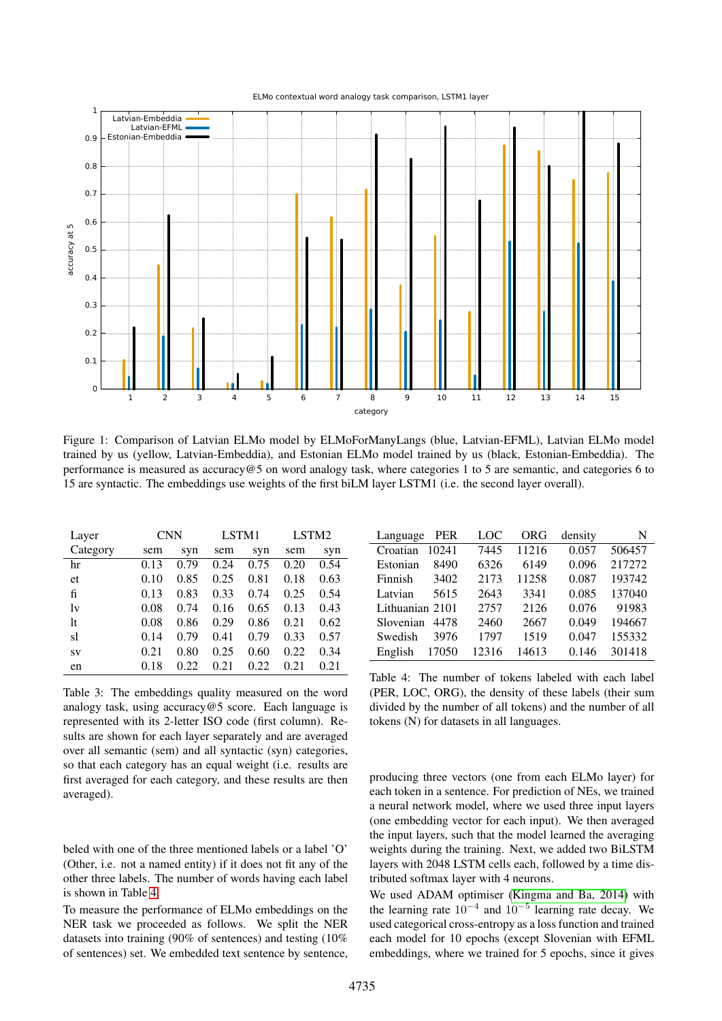

<span id="page-4-0"></span>Figure 1: Comparison of Latvian ELMo model by ELMoForManyLangs (blue, Latvian-EFML), Latvian ELMo model trained by us (yellow, Latvian-Embeddia), and Estonian ELMo model trained by us (black, Estonian-Embeddia). The performance is measured as accuracy@5 on word analogy task, where categories 1 to 5 are semantic, and categories 6 to 15 are syntactic. The embeddings use weights of the first biLM layer LSTM1 (i.e. the second layer overall).

| Layer    | <b>CNN</b> |      | LSTM1 |      | LSTM2 |      |
|----------|------------|------|-------|------|-------|------|
| Category | sem        | syn  | sem   | syn  | sem   | syn  |
| hr       | 0.13       | 0.79 | 0.24  | 0.75 | 0.20  | 0.54 |
| et       | 0.10       | 0.85 | 0.25  | 0.81 | 0.18  | 0.63 |
| fi       | 0.13       | 0.83 | 0.33  | 0.74 | 0.25  | 0.54 |
| lv       | 0.08       | 0.74 | 0.16  | 0.65 | 0.13  | 0.43 |
| 1t       | 0.08       | 0.86 | 0.29  | 0.86 | 0.21  | 0.62 |
| sl       | 0.14       | 0.79 | 0.41  | 0.79 | 0.33  | 0.57 |
| SV       | 0.21       | 0.80 | 0.25  | 0.60 | 0.22  | 0.34 |
| en       | 0.18       | 0.22 | 0.21  | 0.22 | 0.21  | 0.21 |

<span id="page-4-1"></span>Table 3: The embeddings quality measured on the word analogy task, using accuracy@5 score. Each language is represented with its 2-letter ISO code (first column). Results are shown for each layer separately and are averaged over all semantic (sem) and all syntactic (syn) categories, so that each category has an equal weight (i.e. results are first averaged for each category, and these results are then averaged).

beled with one of the three mentioned labels or a label 'O' (Other, i.e. not a named entity) if it does not fit any of the other three labels. The number of words having each label is shown in Table [4.](#page-4-2)

To measure the performance of ELMo embeddings on the NER task we proceeded as follows. We split the NER datasets into training (90% of sentences) and testing (10% of sentences) set. We embedded text sentence by sentence,

| PER<br>Language   | LOC   | ORG   | density | N      |
|-------------------|-------|-------|---------|--------|
| Croatian<br>10241 | 7445  | 11216 | 0.057   | 506457 |
| Estonian<br>8490  | 6326  | 6149  | 0.096   | 217272 |
| Finnish<br>3402   | 2173  | 11258 | 0.087   | 193742 |
| Latvian<br>5615   | 2643  | 3341  | 0.085   | 137040 |
| Lithuanian 2101   | 2757  | 2126  | 0.076   | 91983  |
| Slovenian<br>4478 | 2460  | 2667  | 0.049   | 194667 |
| Swedish<br>3976   | 1797  | 1519  | 0.047   | 155332 |
| English<br>17050  | 12316 | 14613 | 0.146   | 301418 |

<span id="page-4-2"></span>Table 4: The number of tokens labeled with each label (PER, LOC, ORG), the density of these labels (their sum divided by the number of all tokens) and the number of all tokens (N) for datasets in all languages.

producing three vectors (one from each ELMo layer) for each token in a sentence. For prediction of NEs, we trained a neural network model, where we used three input layers (one embedding vector for each input). We then averaged the input layers, such that the model learned the averaging weights during the training. Next, we added two BiLSTM layers with 2048 LSTM cells each, followed by a time distributed softmax layer with 4 neurons.

We used ADAM optimiser [\(Kingma and Ba, 2014\)](#page-6-14) with the learning rate  $10^{-4}$  and  $10^{-5}$  learning rate decay. We used categorical cross-entropy as a loss function and trained each model for 10 epochs (except Slovenian with EFML embeddings, where we trained for 5 epochs, since it gives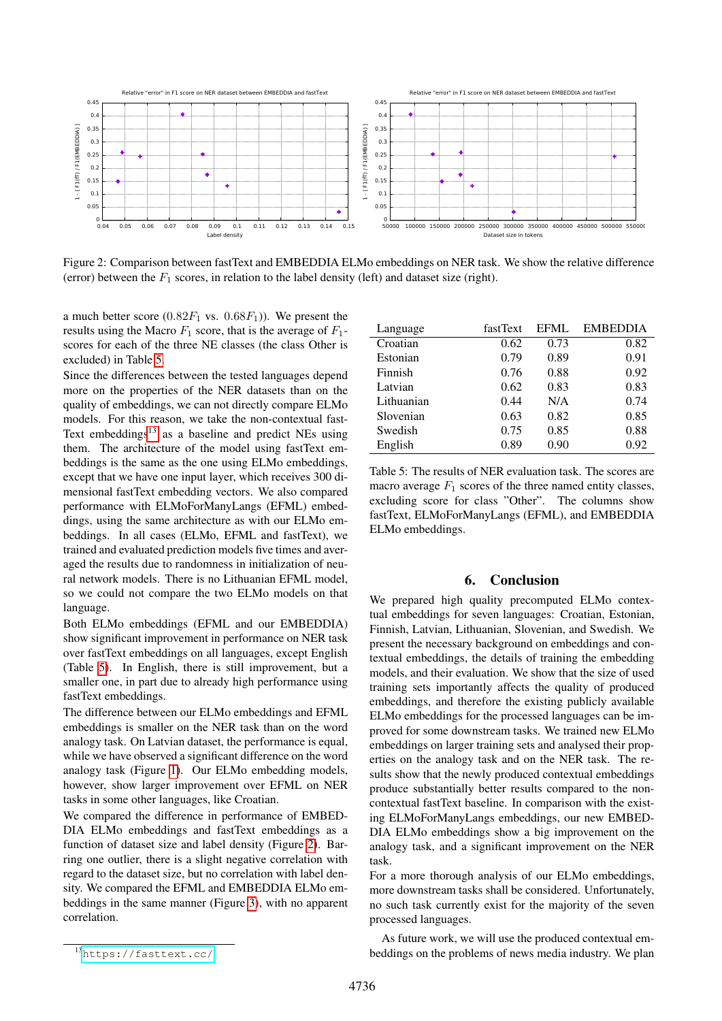

<span id="page-5-3"></span>Figure 2: Comparison between fastText and EMBEDDIA ELMo embeddings on NER task. We show the relative difference (error) between the  $F_1$  scores, in relation to the label density (left) and dataset size (right).

a much better score  $(0.82F_1 \text{ vs. } 0.68F_1)$ ). We present the results using the Macro  $F_1$  score, that is the average of  $F_1$ scores for each of the three NE classes (the class Other is excluded) in Table [5.](#page-5-1)

Since the differences between the tested languages depend more on the properties of the NER datasets than on the quality of embeddings, we can not directly compare ELMo models. For this reason, we take the non-contextual fast-Text embeddings $13$  as a baseline and predict NEs using them. The architecture of the model using fastText embeddings is the same as the one using ELMo embeddings, except that we have one input layer, which receives 300 dimensional fastText embedding vectors. We also compared performance with ELMoForManyLangs (EFML) embeddings, using the same architecture as with our ELMo embeddings. In all cases (ELMo, EFML and fastText), we trained and evaluated prediction models five times and averaged the results due to randomness in initialization of neural network models. There is no Lithuanian EFML model, so we could not compare the two ELMo models on that language.

Both ELMo embeddings (EFML and our EMBEDDIA) show significant improvement in performance on NER task over fastText embeddings on all languages, except English (Table [5\)](#page-5-1). In English, there is still improvement, but a smaller one, in part due to already high performance using fastText embeddings.

The difference between our ELMo embeddings and EFML embeddings is smaller on the NER task than on the word analogy task. On Latvian dataset, the performance is equal, while we have observed a significant difference on the word analogy task (Figure [1\)](#page-4-0). Our ELMo embedding models, however, show larger improvement over EFML on NER tasks in some other languages, like Croatian.

We compared the difference in performance of EMBED-DIA ELMo embeddings and fastText embeddings as a function of dataset size and label density (Figure [2\)](#page-5-3). Barring one outlier, there is a slight negative correlation with regard to the dataset size, but no correlation with label density. We compared the EFML and EMBEDDIA ELMo embeddings in the same manner (Figure [3\)](#page-6-15), with no apparent correlation.

| Language   | fastText | <b>EFML</b> | <b>EMBEDDIA</b> |
|------------|----------|-------------|-----------------|
| Croatian   | 0.62     | 0.73        | 0.82            |
| Estonian   | 0.79     | 0.89        | 0.91            |
| Finnish    | 0.76     | 0.88        | 0.92            |
| Latvian    | 0.62     | 0.83        | 0.83            |
| Lithuanian | 0.44     | N/A         | 0.74            |
| Slovenian  | 0.63     | 0.82        | 0.85            |
| Swedish    | 0.75     | 0.85        | 0.88            |
| English    | 0.89     | 0.90        | 0.92            |

<span id="page-5-1"></span>Table 5: The results of NER evaluation task. The scores are macro average  $F_1$  scores of the three named entity classes, excluding score for class "Other". The columns show fastText, ELMoForManyLangs (EFML), and EMBEDDIA ELMo embeddings.

# 6. Conclusion

We prepared high quality precomputed ELMo contextual embeddings for seven languages: Croatian, Estonian, Finnish, Latvian, Lithuanian, Slovenian, and Swedish. We present the necessary background on embeddings and contextual embeddings, the details of training the embedding models, and their evaluation. We show that the size of used training sets importantly affects the quality of produced embeddings, and therefore the existing publicly available ELMo embeddings for the processed languages can be improved for some downstream tasks. We trained new ELMo embeddings on larger training sets and analysed their properties on the analogy task and on the NER task. The results show that the newly produced contextual embeddings produce substantially better results compared to the noncontextual fastText baseline. In comparison with the existing ELMoForManyLangs embeddings, our new EMBED-DIA ELMo embeddings show a big improvement on the analogy task, and a significant improvement on the NER task.

For a more thorough analysis of our ELMo embeddings, more downstream tasks shall be considered. Unfortunately, no such task currently exist for the majority of the seven processed languages.

As future work, we will use the produced contextual embeddings on the problems of news media industry. We plan

<span id="page-5-2"></span><span id="page-5-0"></span><sup>13</sup><https://fasttext.cc/>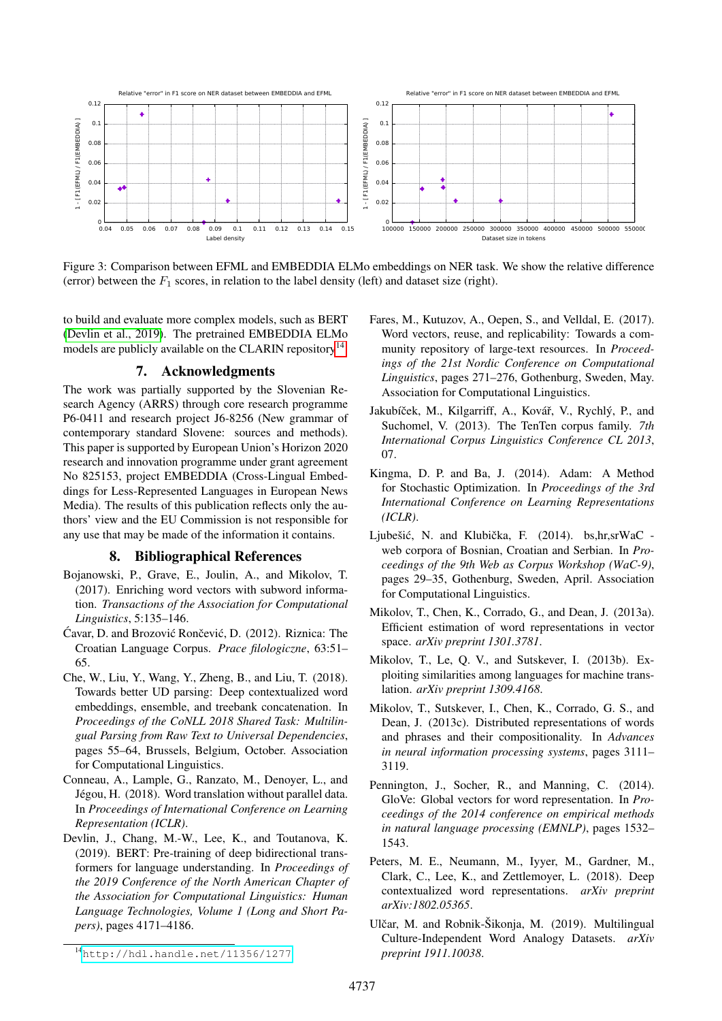

<span id="page-6-15"></span>Figure 3: Comparison between EFML and EMBEDDIA ELMo embeddings on NER task. We show the relative difference (error) between the  $F_1$  scores, in relation to the label density (left) and dataset size (right).

to build and evaluate more complex models, such as BERT [\(Devlin et al., 2019\)](#page-6-4). The pretrained EMBEDDIA ELMo models are publicly available on the CLARIN repository $^{14}$  $^{14}$  $^{14}$ .

## 7. Acknowledgments

The work was partially supported by the Slovenian Research Agency (ARRS) through core research programme P6-0411 and research project J6-8256 (New grammar of contemporary standard Slovene: sources and methods). This paper is supported by European Union's Horizon 2020 research and innovation programme under grant agreement No 825153, project EMBEDDIA (Cross-Lingual Embeddings for Less-Represented Languages in European News Media). The results of this publication reflects only the authors' view and the EU Commission is not responsible for any use that may be made of the information it contains.

#### 8. Bibliographical References

- <span id="page-6-2"></span>Bojanowski, P., Grave, E., Joulin, A., and Mikolov, T. (2017). Enriching word vectors with subword information. *Transactions of the Association for Computational Linguistics*, 5:135–146.
- <span id="page-6-9"></span>Ćavar, D. and Brozović Rončević, D. (2012). Riznica: The Croatian Language Corpus. *Prace filologiczne*, 63:51– 65.
- <span id="page-6-6"></span>Che, W., Liu, Y., Wang, Y., Zheng, B., and Liu, T. (2018). Towards better UD parsing: Deep contextualized word embeddings, ensemble, and treebank concatenation. In *Proceedings of the CoNLL 2018 Shared Task: Multilingual Parsing from Raw Text to Universal Dependencies*, pages 55–64, Brussels, Belgium, October. Association for Computational Linguistics.
- <span id="page-6-13"></span>Conneau, A., Lample, G., Ranzato, M., Denoyer, L., and Jégou, H. (2018). Word translation without parallel data. In *Proceedings of International Conference on Learning Representation (ICLR)*.
- <span id="page-6-4"></span>Devlin, J., Chang, M.-W., Lee, K., and Toutanova, K. (2019). BERT: Pre-training of deep bidirectional transformers for language understanding. In *Proceedings of the 2019 Conference of the North American Chapter of the Association for Computational Linguistics: Human Language Technologies, Volume 1 (Long and Short Papers)*, pages 4171–4186.
- <span id="page-6-7"></span>Fares, M., Kutuzov, A., Oepen, S., and Velldal, E. (2017). Word vectors, reuse, and replicability: Towards a community repository of large-text resources. In *Proceedings of the 21st Nordic Conference on Computational Linguistics*, pages 271–276, Gothenburg, Sweden, May. Association for Computational Linguistics.
- <span id="page-6-10"></span>Jakubíček, M., Kilgarriff, A., Kovář, V., Rychlý, P., and Suchomel, V. (2013). The TenTen corpus family. *7th International Corpus Linguistics Conference CL 2013*, 07.
- <span id="page-6-14"></span>Kingma, D. P. and Ba, J. (2014). Adam: A Method for Stochastic Optimization. In *Proceedings of the 3rd International Conference on Learning Representations (ICLR)*.
- <span id="page-6-8"></span>Ljubešić, N. and Klubička, F. (2014). bs,hr,srWaC web corpora of Bosnian, Croatian and Serbian. In *Proceedings of the 9th Web as Corpus Workshop (WaC-9)*, pages 29–35, Gothenburg, Sweden, April. Association for Computational Linguistics.
- <span id="page-6-12"></span>Mikolov, T., Chen, K., Corrado, G., and Dean, J. (2013a). Efficient estimation of word representations in vector space. *arXiv preprint 1301.3781*.
- <span id="page-6-0"></span>Mikolov, T., Le, Q. V., and Sutskever, I. (2013b). Exploiting similarities among languages for machine translation. *arXiv preprint 1309.4168*.
- <span id="page-6-5"></span>Mikolov, T., Sutskever, I., Chen, K., Corrado, G. S., and Dean, J. (2013c). Distributed representations of words and phrases and their compositionality. In *Advances in neural information processing systems*, pages 3111– 3119.
- <span id="page-6-1"></span>Pennington, J., Socher, R., and Manning, C. (2014). GloVe: Global vectors for word representation. In *Proceedings of the 2014 conference on empirical methods in natural language processing (EMNLP)*, pages 1532– 1543.
- <span id="page-6-3"></span>Peters, M. E., Neumann, M., Iyyer, M., Gardner, M., Clark, C., Lee, K., and Zettlemoyer, L. (2018). Deep contextualized word representations. *arXiv preprint arXiv:1802.05365*.
- <span id="page-6-11"></span>Ulčar, M. and Robnik-Šikonja, M. (2019). Multilingual Culture-Independent Word Analogy Datasets. *arXiv preprint 1911.10038*.

<span id="page-6-16"></span><sup>14</sup><http://hdl.handle.net/11356/1277>